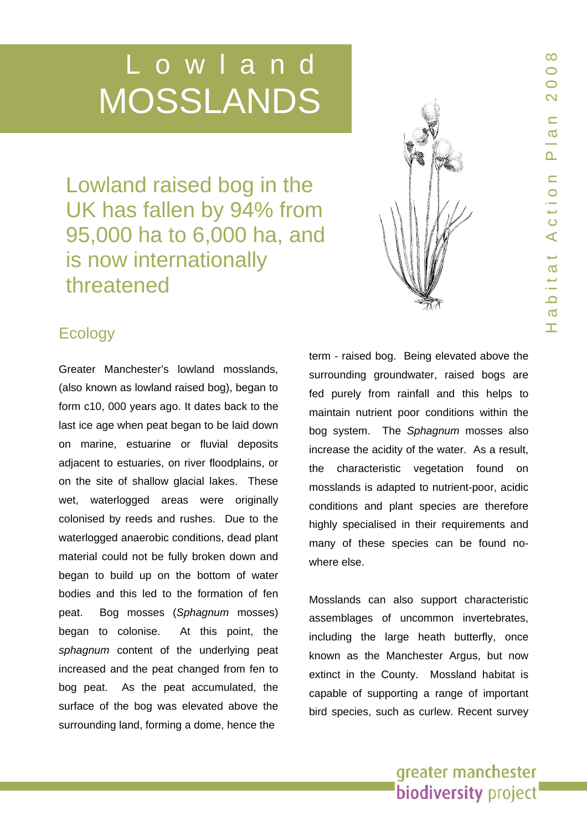# Lowland MOSSLANDS

Lowland raised bog in the UK has fallen by 94% from 95,000 ha to 6,000 ha, and is now internationally threatened



# **Ecology**

Greater Manchester's lowland mosslands, (also known as lowland raised bog), began to form c10, 000 years ago. It dates b ack to th e last ice age when peat began to be laid down on marine, estuarine or fluvial deposits adjacent to estuaries, o n river floodplains, or on the site of shallow glacial lakes. These wet, waterlogged areas were originally colonised b y reeds and rushes. Due to the waterlogged anaerobic conditions, dead plant material could not be ful ly broken d own and began to build up on the bottom of water bodies and this led to the formation of fen peat. Bog m osses (*Sphagnum*  m osses) began to colonise. At this point, the *sphagnum* content of the underlying peat increased and the peat changed from fen to bog peat. As the peat accumulated, the surface of the bog was elevated above the surrounding land, forming a dome, hence the

term - raise d bog. Being elevated above the surrounding groundwater, raised bogs are fed purely from rainfall and this helps t o maintain nutrient poor conditions within the bog system. The *Sphagnu m* mos ses also increase t h e acidity of the water. As a result, the characteristic vegetation found on mosslands is adapted t o nutrient-poor, acidic conditions and plant species are therefore highly specialised in their requirements and many of these species can be found nowhere else.

Mosslands can also support characteristic assemblages of uncommon invertebrates, including the large heath butter fly, once known as the Manchester Argus, but now extinct in the County. Mossland habitat is capable of supporting a range of important bird species, such as curlew. Recent survey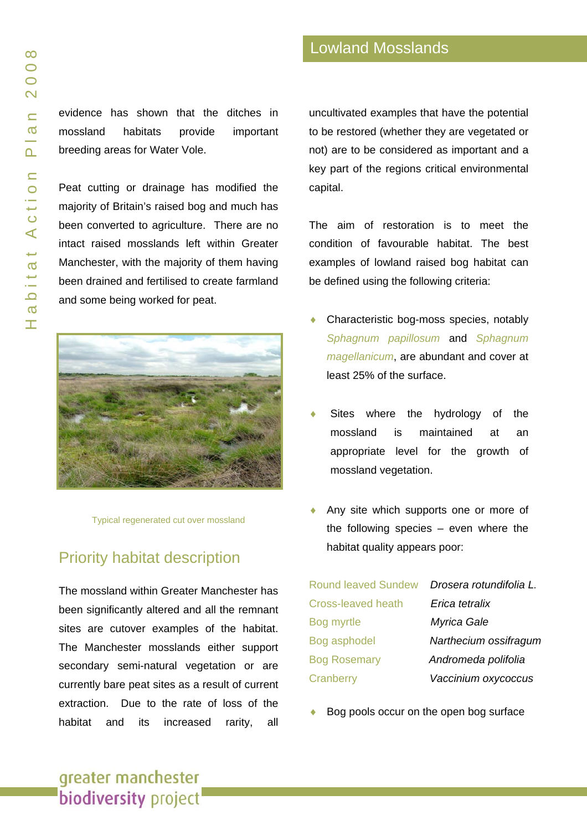evidence has shown that the ditches in mossland habitats provide important breeding areas for Water Vole.

Peat cutting or drainage has modified the majority of Britain's raised bog and much has been converted to agriculture. There are no intact raised mosslands left within Greater Manchester, with the majority of them having been drained and fertilised to create farmland and some being worked for peat.



Typical regenerated cut over mossland

# Priority habitat description

The mossland within Greater Manchester has been significantly altered and all the remnant sites are cutover examples of the habitat. The Manchester mosslands either support secondary semi-natural vegetation or are currently bare peat sites as a result of current extraction. Due to the rate of loss of the habitat and its increased rarity, all uncultivated examples that have the potential to be restored (whether they are vegetated or not) are to be considered as important and a key part of the regions critical environmental capital.

The aim of restoration is to meet the condition of favourable habitat. The best examples of lowland raised bog habitat can be defined using the following criteria:

- Characteristic bog-moss species, notably *Sphagnum papillosum* and *Sphagnum magellanicum*, are abundant and cover at least 25% of the surface.
- Sites where the hydrology of the mossland is maintained at an appropriate level for the growth of mossland vegetation.
- Any site which supports one or more of the following species – even where the habitat quality appears poor:

| Round leaved Sundew       | Drosera rotundifolia L. |
|---------------------------|-------------------------|
| <b>Cross-leaved heath</b> | Erica tetralix          |
| Bog myrtle                | Myrica Gale             |
| Bog asphodel              | Narthecium ossifragum   |
| <b>Bog Rosemary</b>       | Andromeda polifolia     |
| Cranberry                 | Vaccinium oxycoccus     |
|                           |                         |

Bog pools occur on the open bog surface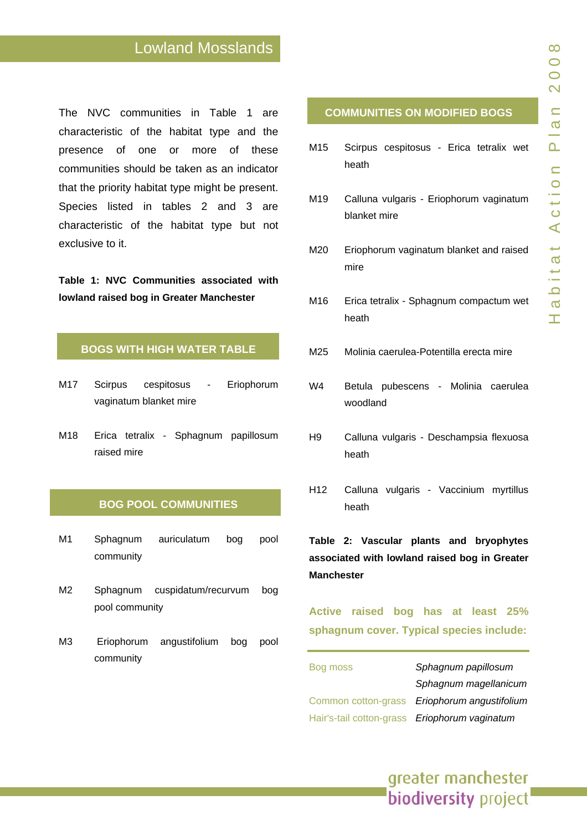# Lowland Mosslands

The NVC communities in Table 1 are characteristic of the habitat type and the presence of one o r more of these communities should be taken as a n indicator that the priority habitat type might b e present. Species listed in tables 2 and 3 are characteristic of the habitat type but not exclusive to it.

Table 1: NVC Communities associated with **lowland raised bog in Greater Manchester** 

#### **BOGS WIT H HIGH WATER TABLE**

- M17 Scirpus cespitosus o rum vaginatum blanket mire
- M18 Erica tetralix Sphagnum papillosum raised mire

#### **BOG POOL COMMUNITIES**

- M1 Sphagnum auriculatum bog pool community
- M2 Sphagnum cuspidatum/recurvum b o g pool commu n ity
- M3 Eriophorum angustifolium bog pool community

#### **COMMUNIT IES ON MODIFIED B OGS**

- M15 Scirpus cespitosus Erica tetralix wet heath
- M19 Calluna vulgaris Eriophorum vaginatum blanket mire
- M20 Eriophorum vaginatum blanket and raised mire
- M16 Erica tetralix Sphagnum compactum wet heath
- M25 Molinia caerulea-Potentilla erecta mire
- W4 Betula pubescens M olinia cae rulea woo dland
- H9 Calluna vulgaris Desch ampsia flexu osa heath
- H12 Calluna vulgaris Vacci nium myrtillus heath

Table 2: Vascular plants and bryophytes associated with lowland raised bog in Greater **Manchester** 

**Active raised bog has at least 25 % sphagnum cover. T ypical species include:** 

Bog moss *Sphagnum papillosum Sphagnum magellanicum* Common cotton-gras s *Eriophorum angustifolium* Hair's-tail cotton-g r a s s *Eriophorum vaginatum*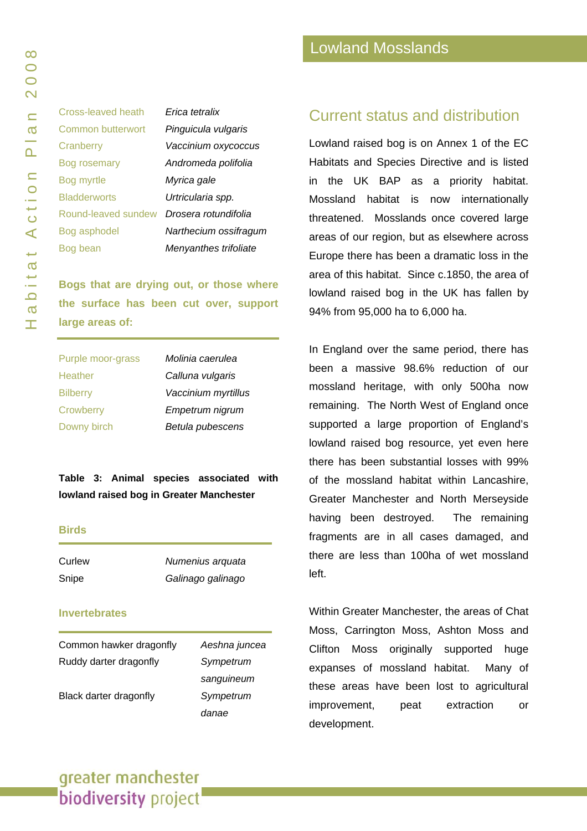| <b>Cross-leaved heath</b> | Erica tetralix    |
|---------------------------|-------------------|
| <b>Common butterwort</b>  | Pinguicula vulga  |
| Cranberry                 | Vaccinium oxyco   |
| <b>Bog rosemary</b>       | Andromeda polit   |
| Bog myrtle                | Myrica gale       |
| <b>Bladderworts</b>       | Urtricularia spp. |
| Round-leaved sundew       | Drosera rotundif  |
| Bog asphodel              | Narthecium ossi   |
| Bog bean                  | Menyanthes trifo  |
|                           |                   |

rulgaris Cranberry *Vaccinium oxycoccus*  polifolia Round-leaved sundew *Drosera rotundifolia* Bog asphodel *Narthecium ossifragum* Bog bean *Menyanthes trifoliate* 

**Bogs that are drying out, or those where the surface has been cut over, support large areas of:** 

| Purple moor-grass | Molinia caerulea    |
|-------------------|---------------------|
| Heather           | Calluna vulgaris    |
| <b>Bilberry</b>   | Vaccinium myrtillus |
| Crowberry         | Empetrum nigrum     |
| Downy birch       | Betula pubescens    |
|                   |                     |

**Table 3: Animal species associated with lowland raised bog in Greater Manchester**

#### **Birds**

| Curlew | Numenius arquata  |
|--------|-------------------|
| Snipe  | Galinago galinago |

#### **Invertebrates**

| Common hawker dragonfly | Aeshna juncea |
|-------------------------|---------------|
| Ruddy darter dragonfly  | Sympetrum     |
|                         | sanguineum    |
| Black darter dragonfly  | Sympetrum     |
|                         | danae         |

### Current status and distribution

Lowland raised bog is on Annex 1 of the EC Habitats and Species Directive and is listed in the UK BAP as a priority habitat. Mossland habitat is now internationally threatened. Mosslands once covered large areas of our region, but as elsewhere across Europe there has been a dramatic loss in the area of this habitat. Since c.1850, the area of lowland raised bog in the UK has fallen by 94% from 95,000 ha to 6,000 ha.

In England over the same period, there has been a massive 98.6% reduction of our mossland heritage, with only 500ha now remaining. The North West of England once supported a large proportion of England's lowland raised bog resource, yet even here there has been substantial losses with 99% of the mossland habitat within Lancashire, Greater Manchester and North Merseyside having been destroyed. The remaining fragments are in all cases damaged, and there are less than 100ha of wet mossland left.

Within Greater Manchester, the areas of Chat Moss, Carrington Moss, Ashton Moss and Clifton Moss originally supported huge expanses of mossland habitat. Many of these areas have been lost to agricultural improvement, peat extraction or development.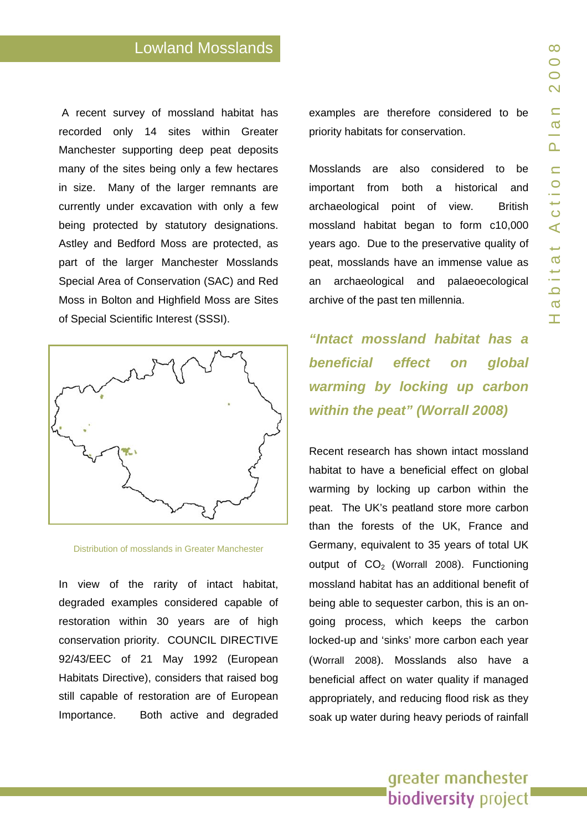# Lowland Mosslands

A recent survey of mossland habitat has recorded only 14 sit es within Greater Manchester supporting deep peat deposits many of the sites being only a few hectares in size. Many of the larger remnants are currently under excavation with only a few being protected by statutory designations. Astley and Bedford Moss are protected, as part of the larger Manchester Mosslands Special Are a of Conservation (SAC) and Red Moss in Bolton and Highfield Moss are Sites of Special S cientific Interest (SSSI).



Distribution of mosslands in Greater Manch ester

In view of the rarity of intact habitat, degraded examples considered capable of restoration within 30 years are of high conservation priority. COUNCIL DIRECTIVE 92/43/EEC of 21 May 1992 (European Habitats Directive), con siders that r aised bog still capable of restoration are of European Importance. Both active and degraded

examples a re therefore considered to be priority habitats for conservation.

Mosslands are also considere d to be important from both a historical and archaeological point of view. British mossland habitat began to form c10,000 years ago. Due to the preservative quality of peat, mosslands have an immense value as an archaeological and palaeoecological archive of the past ten millennia.

*"Intact mossland habitat has a beneficial effect on global warming by loc king up carbon within the peat" (Worrall 2008)* 

Recent research has shown intact mossland habitat to have a beneficial effect on global warming b y locking u p carbon within the peat. The UK's peatland store more carbon than the f orests of the UK, France and Germany, equivalent to 35 years of total UK output of  $CO<sub>2</sub>$  (Worrall 2008). Functioning mossland habitat has an additional benefit of being able t o sequester carbon, this is an ongoing process, which keeps the carbon locked-up and 'sinks' more carbon each year (Worrall 2008). Mosslands also have a beneficial affect on water quality if managed appropriately, and reducing flood r isk as they soak up wat er during heavy periods of rainfall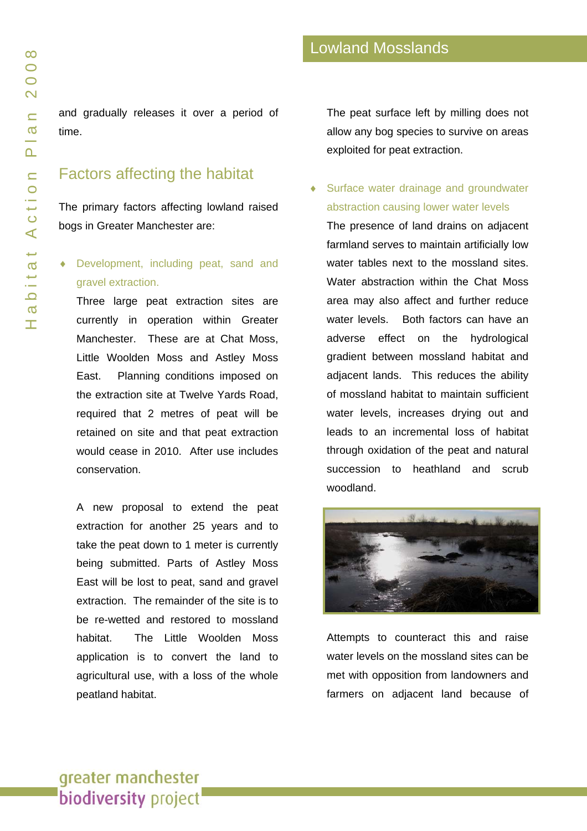and gradually releases it over a period of time.

# Factors affecting the habitat

The primary factors affecting lowland raised bogs in Greater Manchester are:

### Development, including peat, sand and gravel extraction.

Three large peat extraction sites are currently in operation within Greater Manchester. These are at Chat Moss, Little Woolden Moss and Astley Moss East. Planning conditions imposed on the extraction site at Twelve Yards Road, required that 2 metres of peat will be retained on site and that peat extraction would cease in 2010. After use includes conservation.

A new proposal to extend the peat extraction for another 25 years and to take the peat down to 1 meter is currently being submitted. Parts of Astley Moss East will be lost to peat, sand and gravel extraction. The remainder of the site is to be re-wetted and restored to mossland habitat. The Little Woolden Moss application is to convert the land to agricultural use, with a loss of the whole peatland habitat.

The peat surface left by milling does not allow any bog species to survive on areas exploited for peat extraction.

Surface water drainage and groundwater abstraction causing lower water levels

The presence of land drains on adjacent farmland serves to maintain artificially low water tables next to the mossland sites. Water abstraction within the Chat Moss area may also affect and further reduce water levels. Both factors can have an adverse effect on the hydrological gradient between mossland habitat and adjacent lands. This reduces the ability of mossland habitat to maintain sufficient water levels, increases drying out and leads to an incremental loss of habitat through oxidation of the peat and natural succession to heathland and scrub woodland.



Attempts to counteract this and raise water levels on the mossland sites can be met with opposition from landowners and farmers on adjacent land because of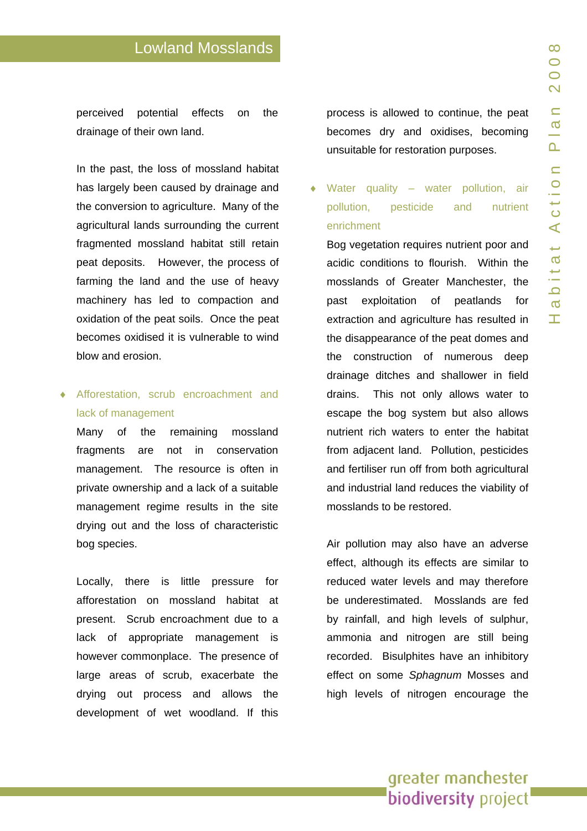perceived potential effects on the drainage of their own land.

In the past, the loss of mossland habitat has largely been cause d by drainage and the conversion to agriculture. Many of the agricultural lands surrounding the current fragmented mossland habitat still retain peat deposits. However, the process of farming the land and the use of heavy machinery has led to compaction and oxidation of the peat soils. Once the peat becomes oxidised it is vulnerable to wind blow and erosion.

### ♦ Afforestation, scrub encroachment and lack of management

Many of the remaining mossland fragments are not in conservation management. The resource is often in private own ership and a lack of a suitable management regime results in th e site drying out and the loss of characteristic bog species.

Locally, there is little pressure for afforestation on mossland habitat at present. S crub encroa chment due to a lack of appropriate management is however commonplace. The presence o f large areas of scrub, exacerbate the drying out process and allows the development of wet woodland. If this

process is allowed to continue, the peat becomes dry and oxi dises, becoming unsuitable f or restoration purposes.

#### ♦ Water quality – wat er pollutio n, air pollution, pesticid and nutrient enrichment

Bog vegetation requires nutrient poor and acidic conditions to flourish. Within the mosslands of Greater Manchester, the past exploitation of peatlands for extraction and agriculture has resulted in the disappearance of the peat domes and the construction of numerous deep drainage dit ches and shallower in field drains. This not only allows water to escape the bog syste m but also allows nutrient rich waters to enter the habitat from adjacent land. Pollution, pesticides and fertiliser run off from both agricultural and industri al land reduces the viability of mosslands t o be restore d.

Air pollution may also have an adverse effect, although its effects are similar to reduced water levels and may therefore be underest imated. Mosslands are fed by rainfall, and high levels of sulphur, ammonia and nitrogen are still being recorded. Bisulphites have an inh ibitory effect on some *Sphagnu m* Mosses and high levels of nitrogen encourage the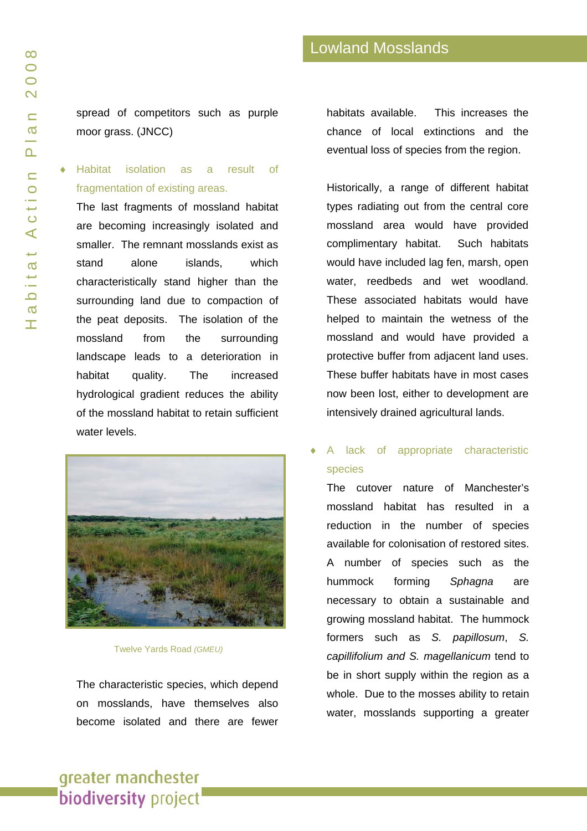spread of competitors such as purple moor grass. (JNCC)

# ♦ Habitat isolation as a result of fragmentation of existing areas.

The last fragments of mossland habitat are becoming increasingly isolated and smaller. The remnant mosslands exist as stand alone islands, which characteristically stand higher than the surrounding land due to compaction of the peat deposits. The isolation of the mossland from the surrounding landscape leads to a deterioration in habitat quality. The increased hydrological gradient reduces the ability of the mossland habitat to retain sufficient water levels.



#### Twelve Yards Road *(GMEU)*

The characteristic species, which depend on mosslands, have themselves also become isolated and there are fewer habitats available. This increases the chance of local extinctions and the eventual loss of species from the region.

Historically, a range of different habitat types radiating out from the central core mossland area would have provided complimentary habitat. Such habitats would have included lag fen, marsh, open water, reedbeds and wet woodland. These associated habitats would have helped to maintain the wetness of the mossland and would have provided a protective buffer from adjacent land uses. These buffer habitats have in most cases now been lost, either to development are intensively drained agricultural lands.

A lack of appropriate characteristic species

The cutover nature of Manchester's mossland habitat has resulted in a reduction in the number of species available for colonisation of restored sites. A number of species such as the hummock forming *Sphagna* are necessary to obtain a sustainable and growing mossland habitat. The hummock formers such as *S. papillosum*, *S. capillifolium and S. magellanicum* tend to be in short supply within the region as a whole. Due to the mosses ability to retain water, mosslands supporting a greater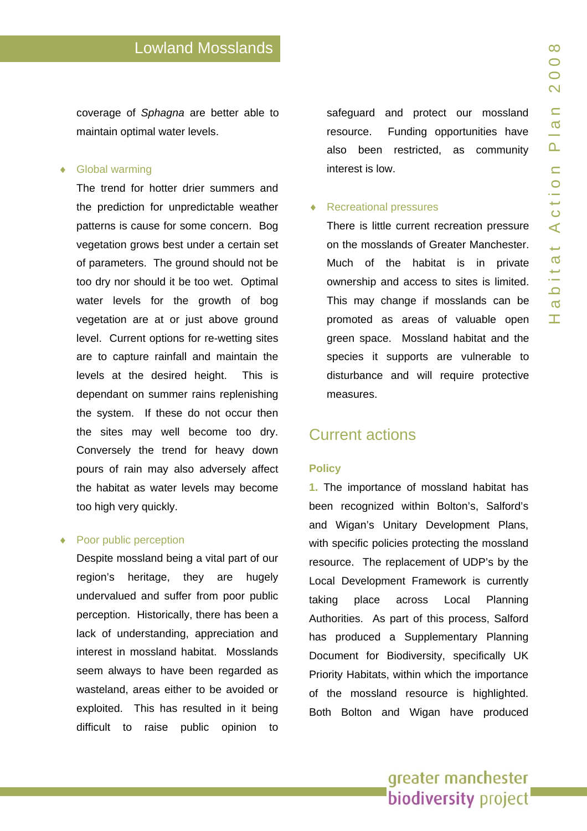coverage of *Sphagna* are better able to maintain optimal water levels.

#### ♦ Global warming

The trend for hotter drier summers and the prediction for unpredictable weather patterns is cause for some concern. Bog vegetation grows best under a certain set of parameters. The ground should not be too dry nor should it be too wet. Optimal water levels for the growth of bog vegetation are at or just above ground level. Current options f or re-wetting sites are to capture rainfall and maintain the levels at the desired height. This is dependant on summer rains replenishing the system. If these d o not occur then the sites may well become too dry. Conversely the trend for heavy down pours of rain may also adversely affect the habitat as water levels may b ecome too high very quickly.

#### Poor public perception

Despite mossland bein g a vital part of our region's h eritage, they are hugely undervalued and suffer from poor public perception. Historically, there has been a lack of understanding, appreciation and interest in mossland habitat. Mos slands seem always to have been regarded as wasteland, areas either to be a voided or exploited. This has resulted in it being difficult to raise public opinion to

safeguard and protect our mossland resource. Funding opportunities have also been restricted, as community interest is low.

#### ♦ Recreational pressures

There is litt le current recreation pressure on the mosslands of Greater Manchester. Much of the habitat is in p rivate ownership and access t o sites is limited. This may change if m osslands can be promoted as areas of valuable open green space. Mossland habitat and the species it supports are vulnerable to disturbance and will require protective measures.

### Current actions

#### **Polic y**

**1.** The imp ortance of mossland habitat has been recog nized within Bolton's, Salford's and Wigan's Unitary Developme nt Plans, with specific policies protecting the mossland resource. The replace ment of UDP's by the Local Development Fra mework is currently taking place across Local Planning Authorities. As part of this process, Salford has produced a Supplementary Planning Document f or Biodiversity, specifically UK Priority Habitats, within which the importance of the mossland resource is highlighted. Both Bolton and Wigan have produced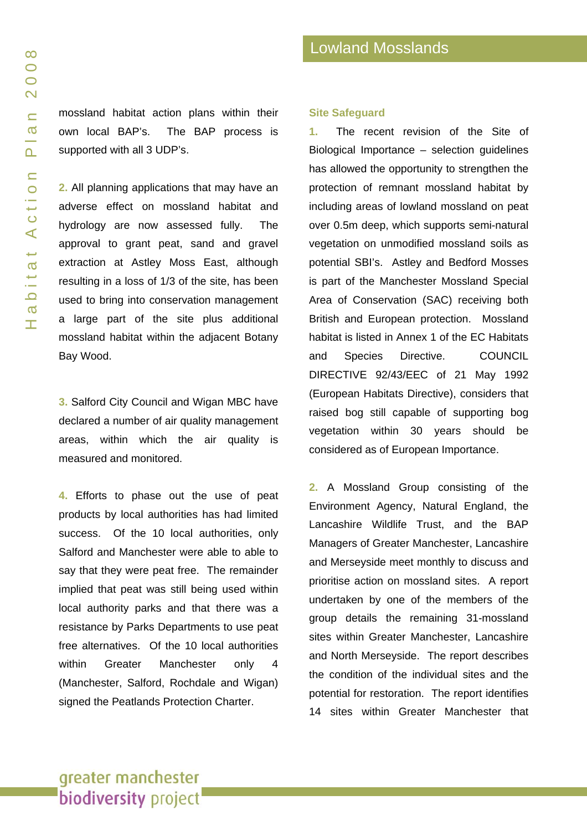mossland habitat action plans within their own local BAP's. The BAP process is supported with all 3 UDP's.

**2.** All planning applications that may have an adverse effect on mossland habitat and hydrology are now assessed fully. The approval to grant peat, sand and gravel extraction at Astley Moss East, although resulting in a loss of 1/3 of the site, has been used to bring into conservation management a large part of the site plus additional mossland habitat within the adjacent Botany Bay Wood.

**3.** Salford City Council and Wigan MBC have declared a number of air quality management areas, within which the air quality is measured and monitored.

**4.** Efforts to phase out the use of peat products by local authorities has had limited success. Of the 10 local authorities, only Salford and Manchester were able to able to say that they were peat free. The remainder implied that peat was still being used within local authority parks and that there was a resistance by Parks Departments to use peat free alternatives. Of the 10 local authorities within Greater Manchester only 4 (Manchester, Salford, Rochdale and Wigan) signed the Peatlands Protection Charter.

#### **Site Safeguard**

**1.** The recent revision of the Site of Biological Importance – selection guidelines has allowed the opportunity to strengthen the protection of remnant mossland habitat by including areas of lowland mossland on peat over 0.5m deep, which supports semi-natural vegetation on unmodified mossland soils as potential SBI's. Astley and Bedford Mosses is part of the Manchester Mossland Special Area of Conservation (SAC) receiving both British and European protection. Mossland habitat is listed in Annex 1 of the EC Habitats and Species Directive. COUNCIL DIRECTIVE 92/43/EEC of 21 May 1992 (European Habitats Directive), considers that raised bog still capable of supporting bog vegetation within 30 years should be considered as of European Importance.

**2.** A Mossland Group consisting of the Environment Agency, Natural England, the Lancashire Wildlife Trust, and the BAP Managers of Greater Manchester, Lancashire and Merseyside meet monthly to discuss and prioritise action on mossland sites. A report undertaken by one of the members of the group details the remaining 31-mossland sites within Greater Manchester, Lancashire and North Merseyside. The report describes the condition of the individual sites and the potential for restoration. The report identifies 14 sites within Greater Manchester that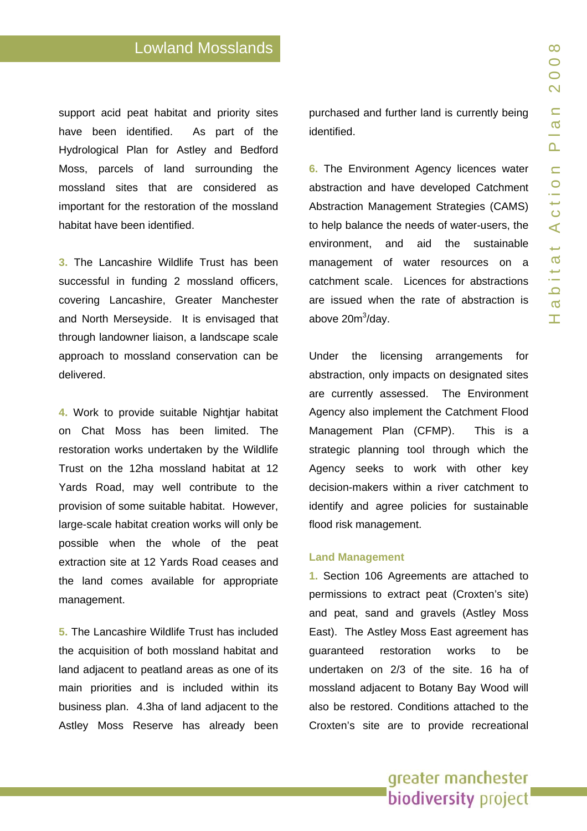support acid peat habitat and priority sites have been identified. As part of the Hydrological Plan for Astley and Bedford Moss, parcels of land surrounding the mossland sites that are considered as important for the restoration of the mossland habitat have been identified.

**3.** The Lancashire Wildlife Trust has been successful in funding 2 mossland officers, covering Lancashire, Greater Mancheste r and North Merseyside. It is envisaged that through landowner liaison, a landscape scale approach to mossland conservatio n can be delivered.

**4.** Work to provide suitable Nightiar habitat on Chat Moss has been limited. The restoration works undertaken by the Wildlife Trust on the 12ha mossland habitat at 1 2 Yards Road, may well contribute to the provision of some suitable habitat. However, large-scale habitat creation works will only be possible when the whole of the peat extraction site at 12 Yards Road ceases and the land comes available for appropriate management.

**5.** The Lancashire Wildlife Trust has included the acquisition of both mossland habitat and land adjace nt to peatland areas as one of its main priorities and is included within its business p lan. 4.3ha of land adjacent to the Astley Moss Reserve has already been purchased and further land is currently being identified.

**6.** The Environment Agency licences water abstraction and have developed Catchment Abstraction Management Strategies (CAMS) to help balance the needs of water-users, the environment, and aid the sustainable management of water resources on a catchment scale. Licences for abstractions are issued when the rate of abstraction is above 20m<sup>3</sup>/day.

Under the licensing arrangements for abstraction, only impacts on design ated sites are currently assessed . The Environment Agency also implement the Catchment Flood Management Plan (CFMP). This is a strategic planning tool through which the Agency seeks to work with other key decision-makers within a river catchment to identify and agree policies for sustainable flood risk management.

#### **Land Management**

**1.** Section 106 Agreements are attached to permissions to extract peat (Croxten's site) and peat, sand and gravels (Astley Moss East). The Astley Moss East agreement has guaranteed restoration works to be undertaken on 2/3 of the site. 16 ha of mossland adjacent to Botany Bay Wood will also be restored. Conditions attached to th e Croxten's site are to provide recreational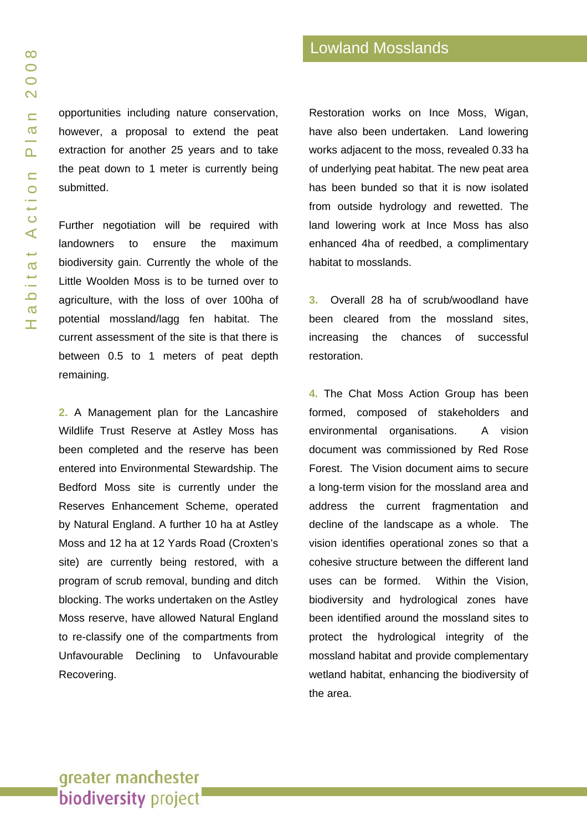opportunities including nature conservation, however, a proposal to extend the peat extraction for another 25 years and to take the peat down to 1 meter is currently being submitted.

Further negotiation will be required with landowners to ensure the maximum biodiversity gain. Currently the whole of the Little Woolden Moss is to be turned over to agriculture, with the loss of over 100ha of potential mossland/lagg fen habitat. The current assessment of the site is that there is between 0.5 to 1 meters of peat depth remaining.

**2.** A Management plan for the Lancashire Wildlife Trust Reserve at Astley Moss has been completed and the reserve has been entered into Environmental Stewardship. The Bedford Moss site is currently under the Reserves Enhancement Scheme, operated by Natural England. A further 10 ha at Astley Moss and 12 ha at 12 Yards Road (Croxten's site) are currently being restored, with a program of scrub removal, bunding and ditch blocking. The works undertaken on the Astley Moss reserve, have allowed Natural England to re-classify one of the compartments from Unfavourable Declining to Unfavourable Recovering.

Restoration works on Ince Moss, Wigan, have also been undertaken. Land lowering works adjacent to the moss, revealed 0.33 ha of underlying peat habitat. The new peat area has been bunded so that it is now isolated from outside hydrology and rewetted. The land lowering work at Ince Moss has also enhanced 4ha of reedbed, a complimentary habitat to mosslands.

**3.** Overall 28 ha of scrub/woodland have been cleared from the mossland sites, increasing the chances of successful restoration.

**4.** The Chat Moss Action Group has been formed, composed of stakeholders and environmental organisations. A vision document was commissioned by Red Rose Forest. The Vision document aims to secure a long-term vision for the mossland area and address the current fragmentation and decline of the landscape as a whole. The vision identifies operational zones so that a cohesive structure between the different land uses can be formed. Within the Vision, biodiversity and hydrological zones have been identified around the mossland sites to protect the hydrological integrity of the mossland habitat and provide complementary wetland habitat, enhancing the biodiversity of the area.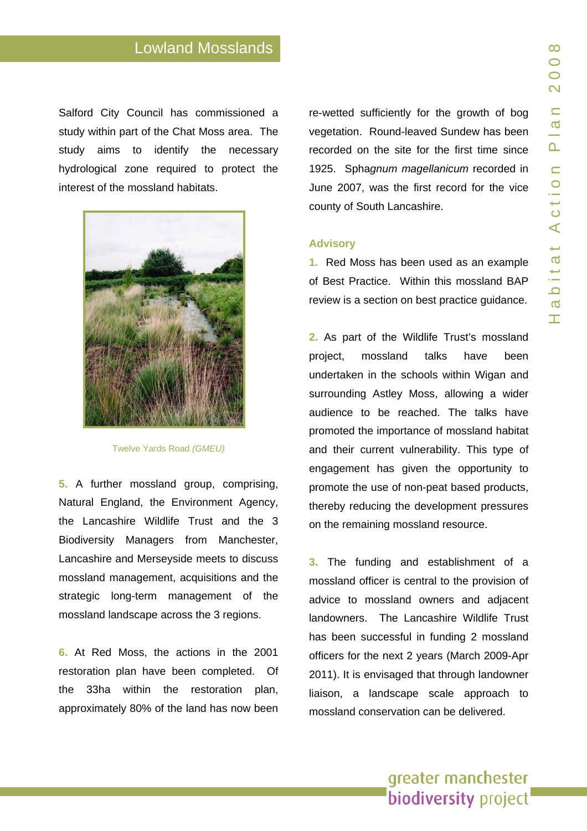Salford City Council has commissioned a study within part of the Chat Moss area. The study aims to identify the necessary hydrological zone required to protect the



**5.** A further mossland group, comprising, Natural England, the Environment Agency, the Lancashire Wildlife Trust and the 3 Biodiversity Managers from Manchester, Lancashire and Merseyside meets t o discuss mossland management, acquisit ions and the strategic long-term management of the mossland landscape acr oss the 3 regions.

**6.** At Red Moss, the actions in the 2001 restoration plan have been completed. Of the 33ha within the restora tion plan, approximate ly 80% of the land has n ow been

re-wetted sufficiently for the growth of bo g vegetation. Round-leaved Sundew has been recorded on the site for the first time since 1925. Sphagnum magellanicum recorded in June 2007, was the first record for the vice county of South Lancash ire.

#### **Advisory**

**1.** Red Moss has been used a s an example of Best Pra ctice. Within this mossland BAP review is a section on best practice g uidance.

**2.** As part of the Wildlife Trust's mossland project, mossland talks have been undertaken in the scho ols within Wigan and surrounding Astley Moss, allowing a wider audience t o be reached. The t alks have promoted the importance of mossland habitat and their current vulnerability. This type of engagement has given the opportunity to promote the use of non-peat based products, thereby reducing the d evelopment pressures on the remaining mossland resource.

**3.** The funding and establish ment of a mossland officer is centr al to the pro vision of advice to mossland owners and adjacent landowners. The Lancashire Wildlife Trust has been successful in funding 2 mossland officers for the next 2 years (March 2009-Apr 2011). It is envisaged that through landowner liaison, a landscape scale approach to mossland conservation can be delivered.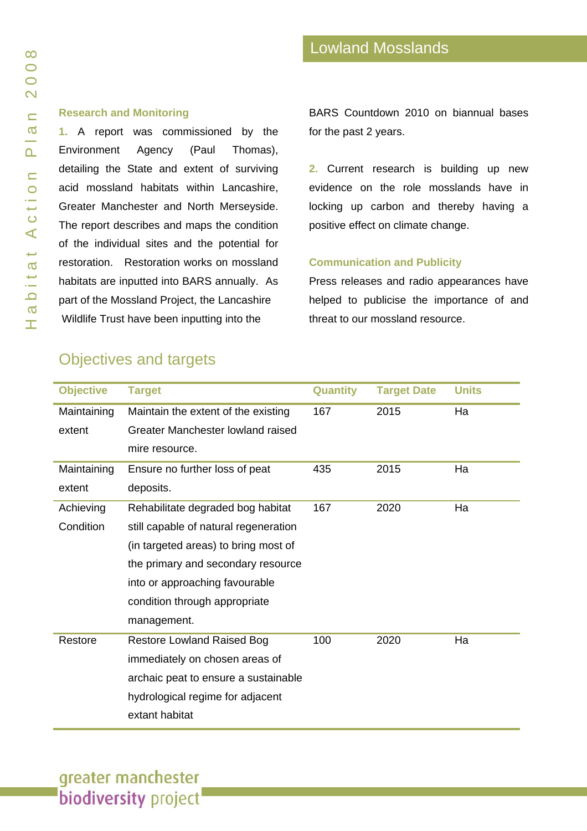### **Research and Monitoring**

**1.** A report was commissioned by the Environment Agency (Paul Thomas), detailing the State and extent of surviving acid mossland habitats within Lancashire, Greater Manchester and North Merseyside. The report describes and maps the condition of the individual sites and the potential for restoration. Restoration works on mossland habitats are inputted into BARS annually. As part of the Mossland Project, the Lancashire Wildlife Trust have been inputting into the

BARS Countdown 2010 on biannual bases for the past 2 years.

**2.** Current research is building up new evidence on the role mosslands have in locking up carbon and thereby having a positive effect on climate change.

#### **Communication and Publicity**

Press releases and radio appearances have helped to publicise the importance of and threat to our mossland resource.

# Objectives and targets

| <b>Objective</b> | <b>Target</b>                         | <b>Quantity</b> | <b>Target Date</b> | <b>Units</b> |
|------------------|---------------------------------------|-----------------|--------------------|--------------|
| Maintaining      | Maintain the extent of the existing   | 167             | 2015               | Ha           |
| extent           | Greater Manchester lowland raised     |                 |                    |              |
|                  | mire resource.                        |                 |                    |              |
| Maintaining      | Ensure no further loss of peat        | 435             | 2015               | Ha           |
| extent           | deposits.                             |                 |                    |              |
| Achieving        | Rehabilitate degraded bog habitat     | 167             | 2020               | Ha           |
| Condition        | still capable of natural regeneration |                 |                    |              |
|                  | (in targeted areas) to bring most of  |                 |                    |              |
|                  | the primary and secondary resource    |                 |                    |              |
|                  | into or approaching favourable        |                 |                    |              |
|                  | condition through appropriate         |                 |                    |              |
|                  | management.                           |                 |                    |              |
| Restore          | <b>Restore Lowland Raised Bog</b>     | 100             | 2020               | Ha           |
|                  | immediately on chosen areas of        |                 |                    |              |
|                  | archaic peat to ensure a sustainable  |                 |                    |              |
|                  | hydrological regime for adjacent      |                 |                    |              |
|                  | extant habitat                        |                 |                    |              |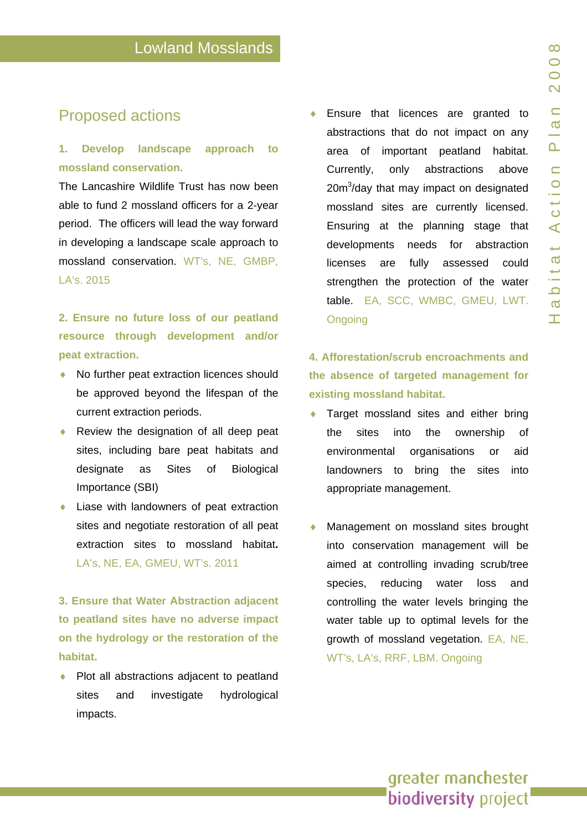# Proposed actions

### **1. Develop landscape approach to mossland conservation.**

The Lancashire Wildlife Trust has now been able to fund 2 mossland officers for a 2-year period. The officers will lead the way forward in developin g a landscape scale approach to mossland conservation. WT's, NE, GMBP, LA's. 2015

# **2. Ensure no future loss of our peatland resource through development and/or peat extraction.**

- ♦ No further peat extraction licence s should be approved beyond the lifespan of the current extraction periods.
- Review the designation of all deep peat sites, inclu ding bare peat habitats and designate as Sites of Biological Importance (SBI)
- Liase with landowners of peat extraction sites and negotiate restoration of all peat extraction sites to mossland habitat**.**  LA's, NE, EA, GMEU, WT's. 2011

**3. Ensure that Water Abstraction adjacent to peatland sites have no adverse impact on the hydrology or the restoration of the habitat.** 

• Plot all abstractions adjacent to peatland sites and investigate hydrological impacts.

♦ Ensure that licence s are granted to abstractions that do not impact on any area of important peatland habitat. Currently, only abstractions above 20m<sup>3</sup>/day that may impact on designated mossland sites are currently licensed. Ensuring a t the planning stage that developments needs for abstraction license s a are fully assessed could strengthen the protection of the water table. EA, SCC, WMB C, GMEU, LWT. **Ongoing** 

# **4. Afforesta tion/scrub encroachments and the absence of targeted management for existing mossland habitat.**

- ♦ Target mossland sit es and either bring the sites into the ownership of environmental organisations or aid landowners to bring the sites into appropriate management.
- ♦ Management on mossland sites brought into conservation management will be aimed at controlling invading scru b/tree species, reducing water loss and controlling the water levels bringin g the water table up to optimal levels f or the growth of mossland vegetation. EA, NE, WT's, LA's, RRF, LBM. Ongoing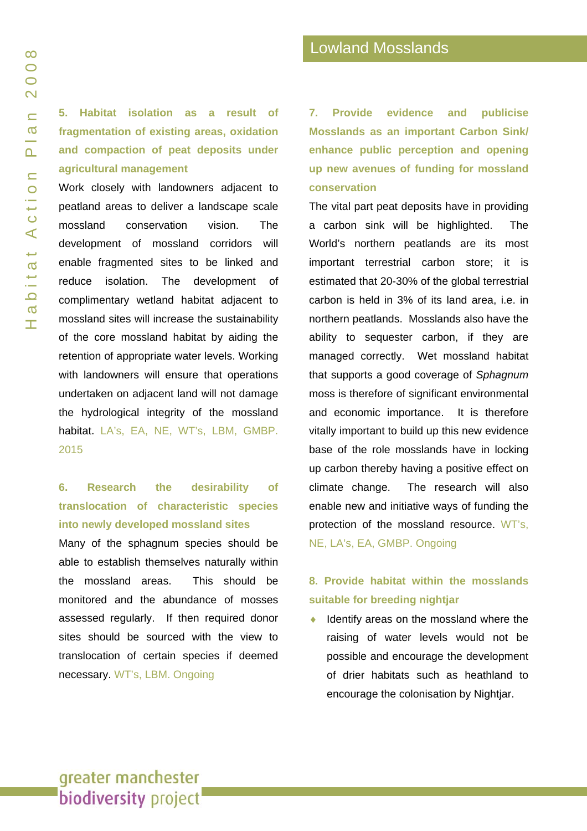**5. Habitat isolation as a result of fragmentation of existing areas, oxidation and compaction of peat deposits under agricultural management** 

Work closely with landowners adjacent to peatland areas to deliver a landscape scale mossland conservation vision. The development of mossland corridors will enable fragmented sites to be linked and reduce isolation. The development of complimentary wetland habitat adjacent to mossland sites will increase the sustainability of the core mossland habitat by aiding the retention of appropriate water levels. Working with landowners will ensure that operations undertaken on adjacent land will not damage the hydrological integrity of the mossland habitat. LA's, EA, NE, WT's, LBM, GMBP. 2015

## **6. Research the desirability of translocation of characteristic species into newly developed mossland sites**

Many of the sphagnum species should be able to establish themselves naturally within the mossland areas. This should be monitored and the abundance of mosses assessed regularly. If then required donor sites should be sourced with the view to translocation of certain species if deemed necessary. WT's, LBM. Ongoing

**7. Provide evidence and publicise Mosslands as an important Carbon Sink/ enhance public perception and opening up new avenues of funding for mossland conservation** 

The vital part peat deposits have in providing a carbon sink will be highlighted. The World's northern peatlands are its most important terrestrial carbon store; it is estimated that 20-30% of the global terrestrial carbon is held in 3% of its land area, i.e. in northern peatlands. Mosslands also have the ability to sequester carbon, if they are managed correctly. Wet mossland habitat that supports a good coverage of *Sphagnum*  moss is therefore of significant environmental and economic importance. It is therefore vitally important to build up this new evidence base of the role mosslands have in locking up carbon thereby having a positive effect on climate change. The research will also enable new and initiative ways of funding the protection of the mossland resource. WT's, NE, LA's, EA, GMBP. Ongoing

### **8. Provide habitat within the mosslands suitable for breeding nightjar**

 $\bullet$  Identify areas on the mossland where the raising of water levels would not be possible and encourage the development of drier habitats such as heathland to encourage the colonisation by Nightjar.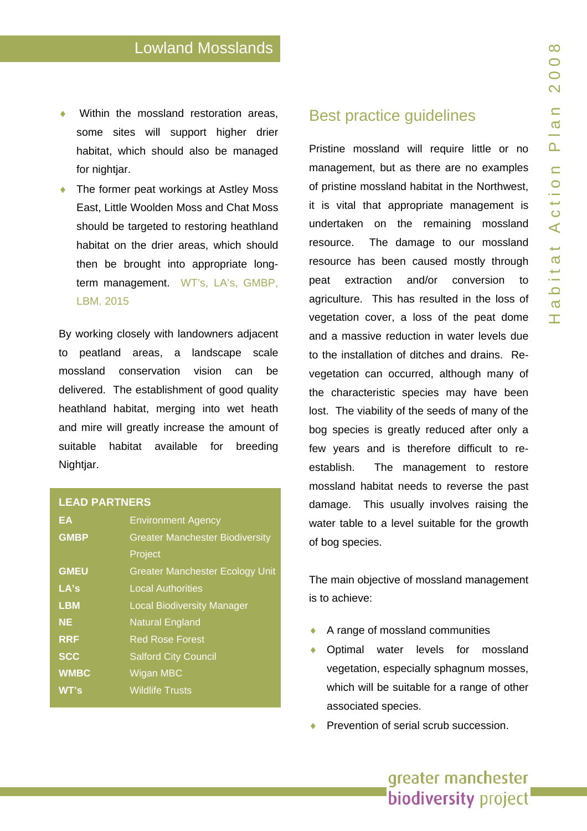- Within the mossland restoration areas, some sites will support higher drier habitat, which should also be managed for nightiar.
- The former peat workings at Astley Moss East, Little Woolden Moss and Chat Moss should be t argeted to restoring heathland habitat on the drier are as, which should then be brought into appropriate longterm management. WT's, LA's, GMBP, LBM. 2015

By working closely with landowners adjacent to peatland areas, a landscape scale mossland conservatio vision can be delivered. The establishment of good quality heathland habitat, merging into wet heath and mire will greatly increase the a mount of suitable habitat available for breeding Nightiar.

#### LEAD PARTNERS

| EA          | <b>Environment Agency</b>              |
|-------------|----------------------------------------|
| <b>GMBP</b> | <b>Greater Manchester Biodiversity</b> |
|             | Project                                |
| <b>GMEU</b> | <b>Greater Manchester Ecology Unit</b> |
| LA's        | <b>Local Authorities</b>               |
| <b>LBM</b>  | <b>Local Biodiversity Manager</b>      |
| <b>NE</b>   | <b>Natural England</b>                 |
| <b>RRF</b>  | <b>Red Rose Forest</b>                 |
| <b>SCC</b>  | <b>Salford City Council</b>            |
| <b>WMBC</b> | <b>Wigan MBC</b>                       |
| WT's        | <b>Wildlife Trusts</b>                 |
|             |                                        |

### Best practice guidelines

Pristine mossland will require little or no management, but as there are no examples of pristine mossland habitat in the Northwest, it is vital that appropriate management is undertaken on the remaining mossland resource. The damage to our mossland resource h as been caused mostly through peat extraction and/or conversion to agriculture. This has r esulted in the loss of vegetation cover, a loss of the peat dome and a massive reductio n in water levels due to the installation of ditches and drains. Revegetation can occurred, although many of the charact eristic species may h ave been lost. The viability of the seeds of many of the bog species is greatly reduced after only a few years and is therefore difficult to reestablish. The management to restore mossland habitat needs to reverse the past damage. This usually involves raising the water table to a level suitable for the growth of bog species.

The main objective of mossland management is to ach ieve:

- A range of mossland communities
- Optimal water levels for mossland vegetation, especially sphagnum mosses, which will b e suitable for a range of other associated species.
- Prevention of serial scrub succession.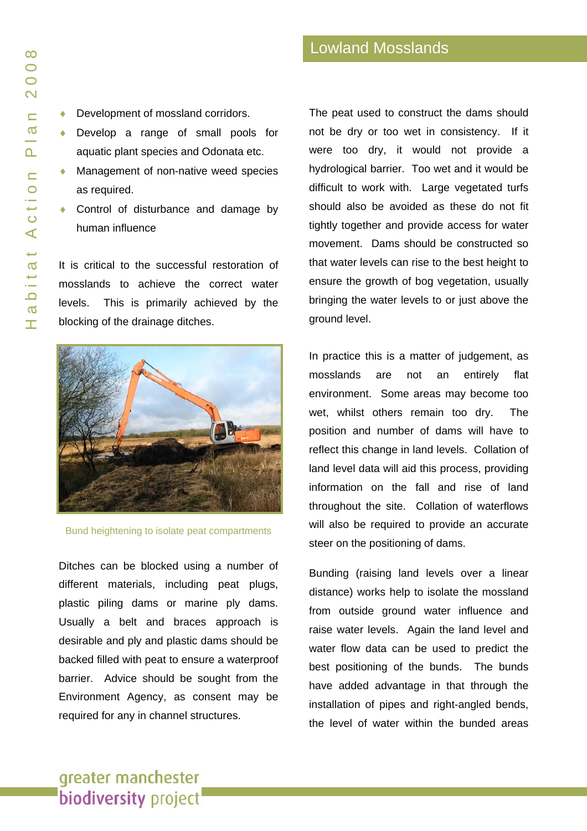- Development of mossland corridors.
- ♦ Develop a range of small pools for aquatic plant species and Odonata etc.
- ♦ Management of non-native weed species as required.
- ♦ Control of disturbance and damage by human influence

It is critical to the successful restoration of mosslands to achieve the correct water levels. This is primarily achieved by the blocking of the drainage ditches.



Bund heightening to isolate peat compartments

Environment Agency, as consent may be required for any in channel structures. Ditches can be blocked using a number of different materials, including peat plugs, plastic piling dams or marine ply dams. Usually a belt and braces approach is desirable and ply and plastic dams should be backed filled with peat to ensure a waterproof barrier. Advice should be sought from the

The peat used to construct the dams should not be dry or too wet in consistency. If it were too dry, it would not provide a hydrological barrier. Too wet and it would be difficult to work with. Large vegetated turfs should also be avoided as these do not fit tightly together and provide access for water movement. Dams should be constructed so that water levels can rise to the best height to ensure the growth of bog vegetation, usually bringing the water levels to or just above the ground level.

In practice this is a matter of judgement, as mosslands are not an entirely flat environment. Some areas may become too wet, whilst others remain too dry. The position and number of dams will have to reflect this change in land levels. Collation of land level data will aid this process, providing information on the fall and rise of land throughout the site. Collation of waterflows will also be required to provide an accurate steer on the positioning of dams.

Bunding (raising land levels over a linear distance) works help to isolate the mossland from outside ground water influence and raise water levels. Again the land level and water flow data can be used to predict the best positioning of the bunds. The bunds have added advantage in that through the installation of pipes and right-angled bends, the level of water within the bunded areas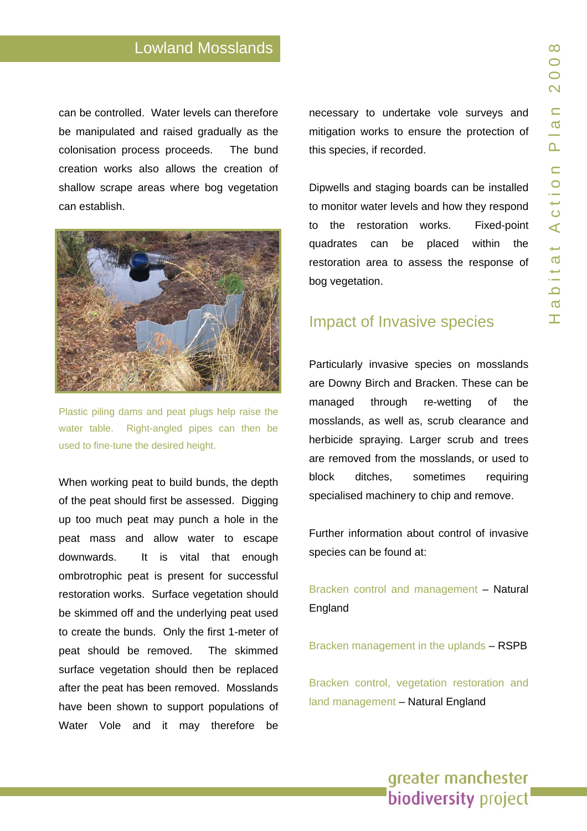# Lowland Mosslands

can be contr olled. Water levels can therefore be manipulated and raised gradually as th e colonisat ion process proceeds. The bund creation works also allows the creation of shallow scrape areas where bog vegetation can establish.



Plastic piling dams and peat plugs hel p raise the water table. Right-angled pipes can then be used to fine-tune the desired height.

When working peat to b uild bunds, the depth of the peat should first be assessed. Digging up too much peat may punch a h ole in the peat mass and allow water t o escape downwards. It is vital that enough ombrotrophic peat is p resent for successful restoration works. Surface vegetation should be skimmed off and the underlying peat used to create the bunds. O nly the first 1-meter of peat should be removed. The skimmed surface vegetation should then be replaced after the peat has been removed. Mosslands have been shown to support populations of Water Vole and it may therefore be

necessary to undertake vole surveys and mitigation works to ensure the protection of this spe cies, if recorded.

Dipwells and staging boards can b e installed to monitor water levels and how they respond to the restoration works. Fixed-point quadrates can be placed within the restoration area to assess the response of bog vegetation.

# Impact of Invasive species

Particularly invasive species on mosslands are Downy Birch and Bracken. These can be managed through re-wetting of the mosslands, as well a s, scrub clearance and herbicide spraying. Larger scrub and trees are removed from the mosslands, or used to block i t sometimes requiring specialised machinery t o chip and r emove.

Further information about control of invasive species can be found at:

[Bracken control and management](http://naturalengland.etraderstores.com/NaturalEnglandShop/Product.aspx?ProductID=41f0bfcb-9d28-4f01-8fd0-174ffa6ba335) – Natural England

[Bracken management in the uplands](http://www.rspb.org.uk/ourwork/farming/advice/farmhabitats/bracken/index.asp) – RSPB

[Bracken control, vegetation restoration and](http://www.appliedvegetationdynamics.co.uk/web/bracken_TAN_final 2004.pdf)  [land management](http://www.appliedvegetationdynamics.co.uk/web/bracken_TAN_final 2004.pdf) - Natural England